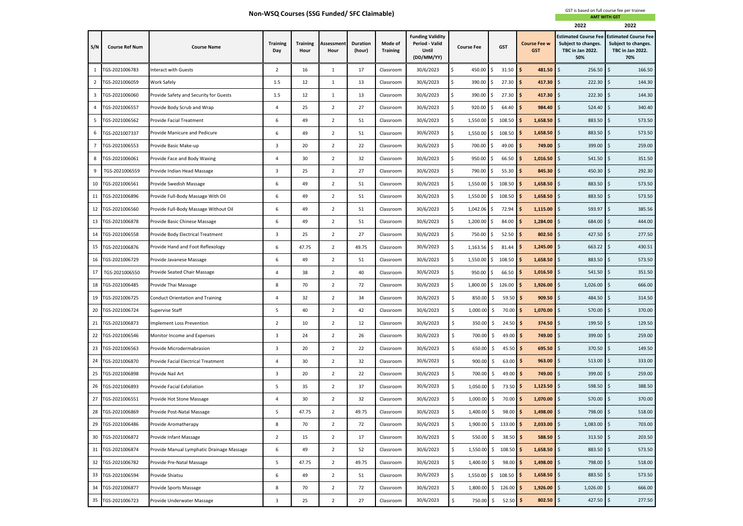|     |                       |                                           |                        |                         |                    |                           |                            |                                                                         |                               |                                                 |            |                        | 2022                                                                                 | 2022                                                                                 |
|-----|-----------------------|-------------------------------------------|------------------------|-------------------------|--------------------|---------------------------|----------------------------|-------------------------------------------------------------------------|-------------------------------|-------------------------------------------------|------------|------------------------|--------------------------------------------------------------------------------------|--------------------------------------------------------------------------------------|
| S/N | <b>Course Ref Num</b> | <b>Course Name</b>                        | <b>Training</b><br>Day | <b>Training</b><br>Hour | Assessment<br>Hour | <b>Duration</b><br>(hour) | Mode of<br><b>Training</b> | <b>Funding Validity</b><br>Period - Valid<br><b>Until</b><br>(DD/MM/YY) | <b>Course Fee</b>             | <b>Course Fee w</b><br><b>GST</b><br><b>GST</b> |            |                        | <b>Estimated Course Fee</b><br>Subject to changes.<br><b>TBC in Jan 2022.</b><br>50% | <b>Estimated Course Fee</b><br>Subject to changes.<br><b>TBC in Jan 2022.</b><br>70% |
|     | TGS-2021006783        | Interact with Guests                      | $\overline{2}$         | 16                      | 1                  | 17                        | Classroom                  | 30/6/2023                                                               | Ś.<br>450.00 \$               | $31.50$ \$                                      |            | 481.50                 | $256.50$ \$<br>\$                                                                    | 166.50                                                                               |
| 2   | TGS-2021006059        | <b>Work Safely</b>                        | 1.5                    | 12                      | 1                  | 13                        | Classroom                  | 30/6/2023                                                               | $390.00$ \$<br>Ś.             | $27.30$ \$                                      |            | 417.30                 | 222.30<br>Ŝ.                                                                         | 144.30<br>$\zeta$                                                                    |
| 3   | TGS-2021006060        | Provide Safety and Security for Guests    | 1.5                    | 12                      | 1                  | 13                        | Classroom                  | 30/6/2023                                                               | Ś.<br>$390.00$ \$             | $27.30$ \$                                      |            | 417.30                 | $222.30$ \$<br>-\$                                                                   | 144.30                                                                               |
|     | TGS-2021006557        | Provide Body Scrub and Wrap               | 4                      | 25                      | $\overline{2}$     | 27                        | Classroom                  | 30/6/2023                                                               | Ś.<br>$920.00$ \$             | $64.40$ \$                                      |            | 984.40                 | \$<br>$524.40$ \$                                                                    | 340.40                                                                               |
|     | TGS-2021006562        | Provide Facial Treatment                  | 6                      | 49                      | $\overline{2}$     | 51                        | Classroom                  | 30/6/2023                                                               | \$<br>$1,550.00$ \$           | $108.50$ \$                                     |            | 1,658.50               | \$<br>883.50 \$                                                                      | 573.50                                                                               |
| 6   | TGS-2021007337        | Provide Manicure and Pedicure             | 6                      | 49                      | $\overline{2}$     | 51                        | Classroom                  | 30/6/2023                                                               | $1,550.00$ \$<br>Ś.           | $108.50$ \$                                     |            | 1,658.50               | 883.50 \$<br>-\$                                                                     | 573.50                                                                               |
|     | TGS-2021006553        | Provide Basic Make-up                     | 3                      | 20                      | 2                  | 22                        | Classroom                  | 30/6/2023                                                               | \$<br>700.00 \$               | $49.00$   \$                                    |            | 749.00                 | \$<br>399.00                                                                         | l \$<br>259.00                                                                       |
| 8   | TGS-2021006061        | Provide Face and Body Waxing              | 4                      | 30                      | $\overline{2}$     | 32                        | Classroom                  | 30/6/2023                                                               | Ś.<br>$950.00$ \$             | $66.50$ $\frac{1}{5}$                           |            | 1,016.50               | \$<br>$541.50$ \$                                                                    | 351.50                                                                               |
|     | TGS-2021006559        | Provide Indian Head Massage               | 3                      | 25                      | $\overline{2}$     | 27                        | Classroom                  | 30/6/2023                                                               | Ś.<br>790.00 \$               | $55.30$ \$                                      |            | 845.30                 | \$<br>$450.30$ \$                                                                    | 292.30                                                                               |
| 10  | TGS-2021006561        | Provide Swedish Massage                   | 6                      | 49                      | 2                  | 51                        | Classroom                  | 30/6/2023                                                               | Ś.<br>$1,550.00$ \$           | $108.50$ \$                                     |            | 1,658.50               | 883.50 \$<br>Ŝ.                                                                      | 573.50                                                                               |
|     | 11 TGS-2021006896     | Provide Full-Body Massage With Oil        | 6                      | 49                      | $\overline{2}$     | 51                        | Classroom                  | 30/6/2023                                                               | \$<br>$1,550.00$ \$           | 108.50                                          | I\$.       | $1,658.50$ \$          | 883.50 \$                                                                            | 573.50                                                                               |
| 12  | TGS-2021006560        | Provide Full-Body Massage Without Oil     | 6                      | 49                      | $\overline{2}$     | 51                        | Classroom                  | 30/6/2023                                                               | 1,042.06 \$<br>Ś.             | 72.94                                           | l \$       | 1,115.00               | \$<br>593.97                                                                         | l Ś<br>385.56                                                                        |
| 13  | TGS-2021006878        | Provide Basic Chinese Massage             | 6                      | 49                      | $\overline{2}$     | 51                        | Classroom                  | 30/6/2023                                                               | Ś.<br>$1,200.00$ \$           | $84.00$ \$                                      |            | 1,284.00               | 684.00 \$<br>\$                                                                      | 444.00                                                                               |
| 14  | TGS-2021006558        | Provide Body Electrical Treatment         | 3                      | 25                      | $\overline{2}$     | 27                        | Classroom                  | 30/6/2023                                                               | Ś.<br>750.00 \$               | $52.50$   \$                                    |            | 802.50                 | $427.50$ \$<br>-\$                                                                   | 277.50                                                                               |
| 15  | TGS-2021006876        | Provide Hand and Foot Reflexology         | 6                      | 47.75                   | $\overline{2}$     | 49.75                     | Classroom                  | 30/6/2023                                                               | $1,163.56$ \$<br>\$           | $81.44$ \$                                      |            | 1,245.00               | \$<br>$663.22$ \$                                                                    | 430.51                                                                               |
| 16  | TGS-2021006729        | Provide Javanese Massage                  | 6                      | 49                      | $\overline{2}$     | 51                        | Classroom                  | 30/6/2023                                                               | $1,550.00$ \$                 | 108.50                                          | I \$       | 1,658.50               | 883.50 \$<br>-\$                                                                     | 573.50                                                                               |
| 17  | TGS-2021006550        | Provide Seated Chair Massage              | 4                      | 38                      | $\overline{2}$     | 40                        | Classroom                  | 30/6/2023                                                               | Ś.<br>$950.00$ \$             | $66.50$ \$                                      |            | 1,016.50               | $541.50$ \$<br>\$                                                                    | 351.50                                                                               |
| 18  | TGS-2021006485        | Provide Thai Massage                      | 8                      | 70                      | $\overline{2}$     | 72                        | Classroom                  | 30/6/2023                                                               | $1,800.00$ \$<br>Ś.           | $126.00$ \$                                     |            | 1,926.00               | 1,026.00<br>Ŝ                                                                        | 666.00                                                                               |
|     | 19 TGS-2021006725     | <b>Conduct Orientation and Training</b>   | 4                      | 32                      | $\overline{2}$     | 34                        | Classroom                  | 30/6/2023                                                               | Ś.<br>$850.00$ \$             |                                                 | $59.50$ \$ | $909.50$ \$            | 484.50 \$                                                                            | 314.50                                                                               |
| 20  | TGS-2021006724        | <b>Supervise Staff</b>                    | 5                      | 40                      | $\overline{2}$     | 42                        | Classroom                  | 30/6/2023                                                               | \$<br>$1,000.00$ \$           | $70.00$ \$                                      |            | 1,070.00               | l\$<br>570.00                                                                        | l Ś<br>370.00                                                                        |
|     | 21 TGS-2021006873     | <b>Implement Loss Prevention</b>          | $\overline{2}$         | 10                      | $\overline{2}$     | 12                        | Classroom                  | 30/6/2023                                                               | $\ddot{\zeta}$<br>$350.00$ \$ | $24.50$ \$                                      |            | 374.50 $$$             | $199.50$ \$                                                                          | 129.50                                                                               |
|     | 22 TGS-2021006546     | Monitor Income and Expenses               | 3                      | 24                      | $\overline{2}$     | 26                        | Classroom                  | 30/6/2023                                                               | \$<br>700.00 \$               | 49.00 \$                                        |            | 749.00                 | 399.00 \$<br>\$                                                                      | 259.00                                                                               |
| 23  | TGS-2021006563        | Provide Microdermabrasion                 | 3                      | 20                      | $\overline{2}$     | 22                        | Classroom                  | 30/6/2023                                                               | \$<br>650.00 \$               | $45.50$ \$                                      |            | 695.50                 | \$<br>370.50 \$                                                                      | 149.50                                                                               |
| 24  | TGS-2021006870        | Provide Facial Electrical Treatment       | 4                      | 30                      | $\overline{2}$     | 32                        | Classroom                  | 30/6/2023                                                               | \$<br>$900.00$ \$             | $63.00$ \$                                      |            | 963.00                 | $513.00$ \$<br>l\$                                                                   | 333.00                                                                               |
| 25  | TGS-2021006898        | Provide Nail Art                          | 3                      | 20                      | $\overline{2}$     | 22                        | Classroom                  | 30/6/2023                                                               | \$<br>700.00 \$               | 49.00 \$                                        |            | $749.00$ \$            | $399.00$ \$                                                                          | 259.00                                                                               |
| 26  | TGS-2021006893        | Provide Facial Exfoliation                | 5                      | 35                      | $\overline{2}$     | 37                        | Classroom                  | 30/6/2023                                                               | \$<br>$1,050.00$ \$           | $73.50$ \$                                      |            | 1,123.50               | $\zeta$<br>$598.50$ \$                                                               | 388.50                                                                               |
|     | 27 TGS-2021006551     | Provide Hot Stone Massage                 | 4                      | 30                      | $\overline{2}$     | 32                        | Classroom                  | 30/6/2023                                                               | \$<br>$1,000.00$ \$           | $70.00$ \$                                      |            | $1,070.00$ \$          | $570.00$ \$                                                                          | 370.00                                                                               |
| 28  | TGS-2021006869        | Provide Post-Natal Massage                | 5                      | 47.75                   | $\overline{2}$     | 49.75                     | Classroom                  | 30/6/2023                                                               | \$<br>$1,400.00$ \$           | $98.00$ \$                                      |            | $1,498.00$ \$          | 798.00 \$                                                                            | 518.00                                                                               |
| 29  | TGS-2021006486        | Provide Aromatherapy                      | 8                      | 70                      | $\overline{2}$     | 72                        | Classroom                  | 30/6/2023                                                               | \$<br>$1,900.00$ \$           | $133.00$ \$                                     |            | $2,033.00$ \$          | $1,083.00$ \$                                                                        | 703.00                                                                               |
| 30  | TGS-2021006872        | Provide Infant Massage                    | $\overline{2}$         | 15                      | $\overline{2}$     | 17                        | Classroom                  | 30/6/2023                                                               | \$<br>$550.00$ \$             | $38.50$ \$                                      |            | 588.50                 | $\overline{\phantom{a}}$<br>$313.50$ \$                                              | 203.50                                                                               |
|     | 31 TGS-2021006874     | Provide Manual Lymphatic Drainage Massage | 6                      | 49                      | $\overline{2}$     | 52                        | Classroom                  | 30/6/2023                                                               | \$<br>$1,550.00$ \$           | 108.50 $\frac{\text{S}}{\text{S}}$              |            | 1,658.50               | \$<br>883.50 \$                                                                      | 573.50                                                                               |
|     | 32 TGS-2021006782     | Provide Pre-Natal Massage                 | 5                      | 47.75                   | $\overline{2}$     | 49.75                     | Classroom                  | 30/6/2023                                                               | \$<br>$1,400.00$ \$           | $98.00$ \$                                      |            | $1,498.00$ \$          | 798.00 \$                                                                            | 518.00                                                                               |
| 33  | TGS-2021006594        | Provide Shiatsu                           | 6                      | 49                      | $\overline{2}$     | 51                        | Classroom                  | 30/6/2023                                                               | $1,550.00$ \$<br>\$           | $108.50$ \$                                     |            | 1,658.50 \$            | 883.50 \$                                                                            | 573.50                                                                               |
| 34  | TGS-2021006877        | Provide Sports Massage                    | 8                      | 70                      | $\overline{2}$     | 72                        | Classroom                  | 30/6/2023                                                               | \$<br>$1,800.00$ \$           | 126.00 \$                                       |            | 1,926.00               | $1,026.00$ \$<br>\$                                                                  | 666.00                                                                               |
|     | 35 TGS-2021006723     | Provide Underwater Massage                | $\mathbf{3}$           | 25                      | $\overline{2}$     | 27                        | Classroom                  | 30/6/2023                                                               | \$<br>750.00 \$               | 52.50 \$                                        |            | 802.50 $$\frac{1}{2}$$ | $427.50$ \$                                                                          | 277.50                                                                               |

|  |                 | GST is based on full course fee per trainee |  |
|--|-----------------|---------------------------------------------|--|
|  | A MAT MUTH CCT. |                                             |  |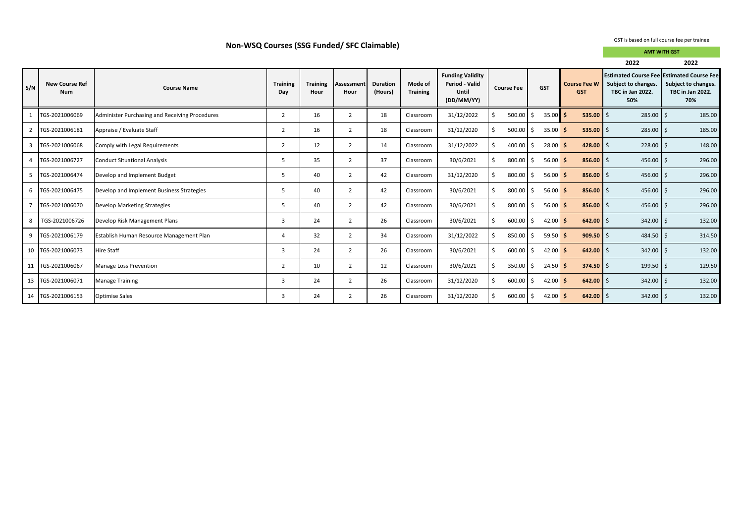|     | Non-way courses (339 Funded) SFC Claimable) |                                                 |                        |                         |                    |                            |                            |                                                                                |                   |        |            |            | <b>AMT WITH GST</b>               |                      |                                                                                                             |  |                                                       |
|-----|---------------------------------------------|-------------------------------------------------|------------------------|-------------------------|--------------------|----------------------------|----------------------------|--------------------------------------------------------------------------------|-------------------|--------|------------|------------|-----------------------------------|----------------------|-------------------------------------------------------------------------------------------------------------|--|-------------------------------------------------------|
|     |                                             |                                                 |                        |                         |                    |                            |                            |                                                                                |                   |        |            |            |                                   |                      | 2022                                                                                                        |  | 2022                                                  |
| S/N | <b>New Course Ref</b><br><b>Num</b>         | <b>Course Name</b>                              | <b>Training</b><br>Day | <b>Training</b><br>Hour | Assessment<br>Hour | <b>Duration</b><br>(Hours) | Mode of<br><b>Training</b> | <b>Funding Validity</b><br><b>Period - Valid</b><br><b>Until</b><br>(DD/MM/YY) | <b>Course Fee</b> |        | <b>GST</b> |            | <b>Course Fee W</b><br><b>GST</b> |                      | <b>Estimated Course Feel Estimated Course Feel</b><br>Subject to changes.<br><b>TBC in Jan 2022.</b><br>50% |  | Subject to changes.<br><b>TBC in Jan 2022.</b><br>70% |
|     | TGS-2021006069                              | Administer Purchasing and Receiving Procedures  | $\overline{2}$         | 16                      | 2                  | 18                         | Classroom                  | 31/12/2022                                                                     | ς.                | 500.00 | l S        | $35.00$ \$ |                                   | $535.00$ \$          | $285.00$ \$                                                                                                 |  | 185.00                                                |
|     | TGS-2021006181                              | Appraise / Evaluate Staff                       | $\overline{2}$         | 16                      | 2                  | 18                         | Classroom                  | 31/12/2020                                                                     | Ŝ.                | 500.00 | -Ś         | 35.00 \$   |                                   | $535.00$   \$        | $285.00$   \$                                                                                               |  | 185.00                                                |
| 3   | TGS-2021006068                              | Comply with Legal Requirements                  | 2                      | 12                      | $\overline{2}$     | 14                         | Classroom                  | 31/12/2022                                                                     | Ŝ.                | 400.00 | - S        | $28.00$ \$ |                                   | 428.00 $\frac{1}{2}$ | $228.00$   \$                                                                                               |  | 148.00                                                |
|     | TGS-2021006727                              | <b>Conduct Situational Analysis</b>             | 5                      | 35                      | $\overline{2}$     | 37                         | Classroom                  | 30/6/2021                                                                      |                   | 800.00 | -\$        | 56.00 \$   |                                   | $856.00$   \$        | 456.00 $\vert$ \$                                                                                           |  | 296.00                                                |
|     | TGS-2021006474                              | Develop and Implement Budget                    | 5                      | 40                      | 2                  | 42                         | Classroom                  | 31/12/2020                                                                     | Ŝ.                | 800.00 | -\$        | $56.00$ \$ |                                   | 856.00 $\frac{1}{2}$ | 456.00 $\vert$ \$                                                                                           |  | 296.00                                                |
| 6   | TGS-2021006475                              | Develop and Implement Business Strategies       | 5                      | 40                      | $\overline{2}$     | 42                         | Classroom                  | 30/6/2021                                                                      |                   | 800.00 | ۱S         | 56.00 \$   |                                   | $856.00$   \$        | 456.00 $\frac{1}{5}$                                                                                        |  | 296.00                                                |
|     | TGS-2021006070                              | Develop Marketing Strategies                    | 5                      | 40                      | $\overline{2}$     | 42                         | Classroom                  | 30/6/2021                                                                      |                   | 800.00 | -S         | 56.00 \$   |                                   | $856.00$   \$        | 456.00 $\vert$ \$                                                                                           |  | 296.00                                                |
| 8   | TGS-2021006726                              | Develop Risk Management Plans                   | 3                      | 24                      | 2                  | 26                         | Classroom                  | 30/6/2021                                                                      | Ŝ.                | 600.00 | -Ś         | 42.00 \$   |                                   | $642.00$   \$        | $342.00$   \$                                                                                               |  | 132.00                                                |
| 9   | TGS-2021006179                              | <b>Establish Human Resource Management Plan</b> | 4                      | 32                      | 2                  | 34                         | Classroom                  | 31/12/2022                                                                     | Ŝ.                | 850.00 | ۱S         | $59.50$ \$ |                                   | $909.50$ \$          | 484.50 $\frac{1}{5}$                                                                                        |  | 314.50                                                |
|     | 10   TGS-2021006073                         | <b>Hire Staff</b>                               | 3                      | 24                      | 2                  | 26                         | Classroom                  | 30/6/2021                                                                      |                   | 600.00 | -S         | $42.00$ \$ |                                   | $642.00$   \$        | $342.00$ \$                                                                                                 |  | 132.00                                                |
| 11  | TGS-2021006067                              | Manage Loss Prevention                          | $\overline{2}$         | 10                      | $\overline{2}$     | 12                         | Classroom                  | 30/6/2021                                                                      | Ŝ.                | 350.00 | I \$       | $24.50$ \$ |                                   | $374.50$   \$        | $199.50$   \$                                                                                               |  | 129.50                                                |
|     | 13   TGS-2021006071                         | <b>Manage Training</b>                          | 3                      | 24                      | $\overline{2}$     | 26                         | Classroom                  | 31/12/2020                                                                     |                   | 600.00 | l \$       | 42.00 \$   |                                   | $642.00$   \$        | $342.00$   \$                                                                                               |  | 132.00                                                |
|     | 14   TGS-2021006153                         | <b>Optimise Sales</b>                           | 3                      | 24                      | $\overline{2}$     | 26                         | Classroom                  | 31/12/2020                                                                     |                   | 600.00 | -\$        | 42.00 \$   |                                   | $642.00$   \$        | $342.00$   \$                                                                                               |  | 132.00                                                |

# **Non-WSQ Courses (SSG Funded/ SFC Claimable)**

## GST is based on full course fee per trainee